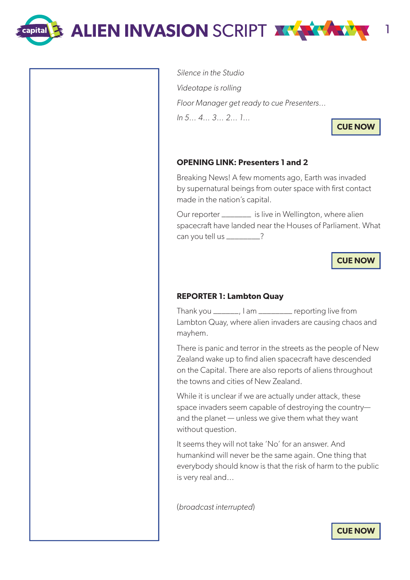**ALIEN INVASION** SCRIPT <sup>1</sup>

**Exapital** 

Silence in the Studio

Videotape is rolling

In 5… 4… 3… 2… 1…

**CUE NOW**

# **OPENING LINK: Presenters 1 and 2**

Floor Manager get ready to cue Presenters…

Breaking News! A few moments ago, Earth was invaded by supernatural beings from outer space with first contact made in the nation's capital.

Our reporter \_\_\_\_\_\_\_ is live in Wellington, where alien spacecraft have landed near the Houses of Parliament. What can you tell us \_\_\_\_\_\_\_\_?

**CUE NOW**

## **REPORTER 1: Lambton Quay**

Thank you \_\_\_\_\_\_, I am \_\_\_\_\_\_\_\_ reporting live from Lambton Quay, where alien invaders are causing chaos and mayhem.

There is panic and terror in the streets as the people of New Zealand wake up to find alien spacecraft have descended on the Capital. There are also reports of aliens throughout the towns and cities of New Zealand.

While it is unclear if we are actually under attack, these space invaders seem capable of destroying the country and the planet — unless we give them what they want without question.

It seems they will not take 'No' for an answer. And humankind will never be the same again. One thing that everybody should know is that the risk of harm to the public is very real and...

(broadcast interrupted)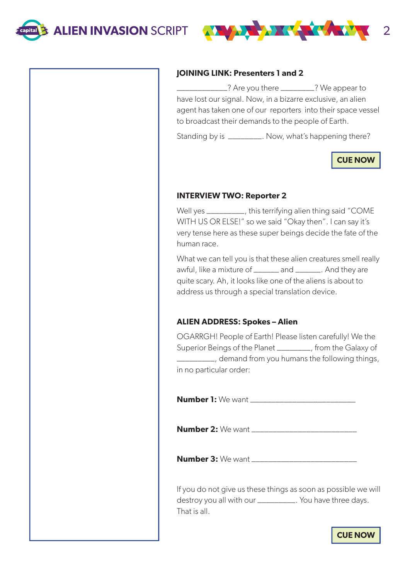

#### **JOINING LINK: Presenters 1 and 2**

\_\_\_\_\_\_\_\_\_\_\_\_? Are you there \_\_\_\_\_\_\_\_? We appear to have lost our signal. Now, in a bizarre exclusive, an alien agent has taken one of our reporters into their space vessel to broadcast their demands to the people of Earth.

Standing by is \_\_\_\_\_\_\_\_\_. Now, what's happening there?

**CUE NOW**

#### **INTERVIEW TWO: Reporter 2**

Well yes \_\_\_\_\_\_\_\_\_, this terrifying alien thing said "COME WITH US OR ELSE!" so we said "Okay then". I can say it's very tense here as these super beings decide the fate of the human race.

What we can tell you is that these alien creatures smell really awful, like a mixture of \_\_\_\_\_\_\_ and \_\_\_\_\_\_\_. And they are quite scary. Ah, it looks like one of the aliens is about to address us through a special translation device.

## **ALIEN ADDRESS: Spokes – Alien**

OGARRGH! People of Earth! Please listen carefully! We the Superior Beings of the Planet \_\_\_\_\_\_\_\_, from the Galaxy of \_\_\_\_\_\_\_\_\_, demand from you humans the following things, in no particular order:

**Number 1:** We want \_\_\_\_\_\_\_\_\_\_\_\_\_\_\_\_\_\_\_\_\_\_\_\_\_

**Number 2:** We want \_\_\_\_\_\_\_\_\_\_\_\_\_\_\_\_\_\_\_\_\_\_\_\_\_

**Number 3:** We want \_\_\_\_\_\_\_\_\_\_\_\_\_\_\_\_\_\_\_\_\_\_\_\_\_

If you do not give us these things as soon as possible we will destroy you all with our \_\_\_\_\_\_\_\_\_\_\_. You have three days. That is all.

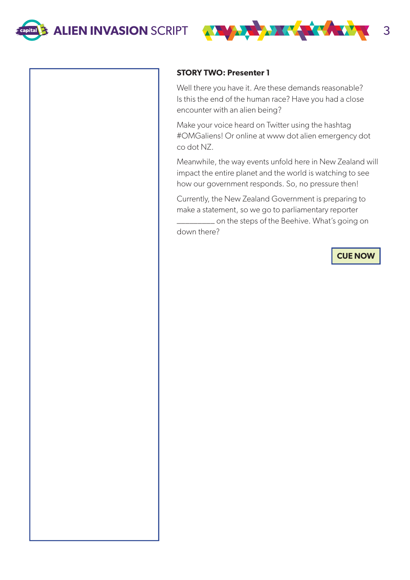

#### **STORY TWO: Presenter 1**

Well there you have it. Are these demands reasonable? Is this the end of the human race? Have you had a close encounter with an alien being?

Make your voice heard on Twitter using the hashtag #OMGaliens! Or online at www dot alien emergency dot co dot NZ.

Meanwhile, the way events unfold here in New Zealand will impact the entire planet and the world is watching to see how our government responds. So, no pressure then!

Currently, the New Zealand Government is preparing to make a statement, so we go to parliamentary reporter \_\_\_\_\_\_\_\_\_ on the steps of the Beehive. What's going on

down there?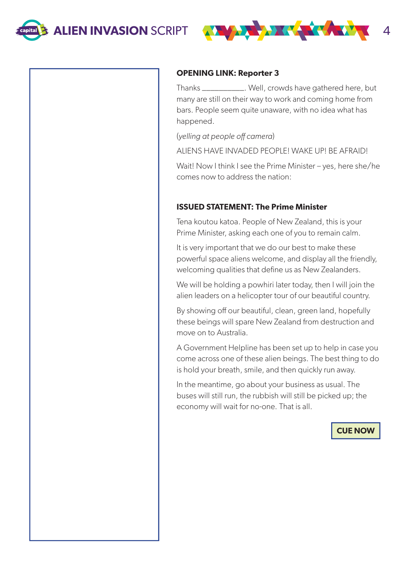

#### **OPENING LINK: Reporter 3**

Thanks \_\_\_\_\_\_\_\_\_\_. Well, crowds have gathered here, but many are still on their way to work and coming home from bars. People seem quite unaware, with no idea what has happened.

(yelling at people off camera)

ALIENS HAVE INVADED PEOPLE! WAKE UP! BE AFRAID!

Wait! Now I think I see the Prime Minister – yes, here she/he comes now to address the nation:

# **ISSUED STATEMENT: The Prime Minister**

Tena koutou katoa. People of New Zealand, this is your Prime Minister, asking each one of you to remain calm.

It is very important that we do our best to make these powerful space aliens welcome, and display all the friendly, welcoming qualities that define us as New Zealanders.

We will be holding a powhiri later today, then I will join the alien leaders on a helicopter tour of our beautiful country.

By showing off our beautiful, clean, green land, hopefully these beings will spare New Zealand from destruction and move on to Australia.

A Government Helpline has been set up to help in case you come across one of these alien beings. The best thing to do is hold your breath, smile, and then quickly run away.

In the meantime, go about your business as usual. The buses will still run, the rubbish will still be picked up; the economy will wait for no-one. That is all.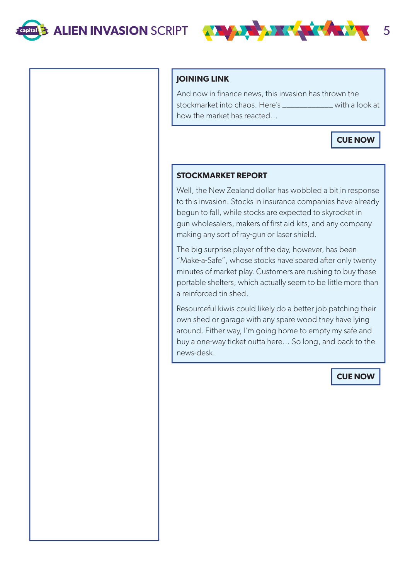

## **JOINING LINK**

And now in finance news, this invasion has thrown the stockmarket into chaos. Here's \_\_\_\_\_\_\_\_\_\_\_\_ with a look at how the market has reacted…

**CUE NOW**

## **STOCKMARKET REPORT**

Well, the New Zealand dollar has wobbled a bit in response to this invasion. Stocks in insurance companies have already begun to fall, while stocks are expected to skyrocket in gun wholesalers, makers of first aid kits, and any company making any sort of ray-gun or laser shield.

The big surprise player of the day, however, has been "Make-a-Safe", whose stocks have soared after only twenty minutes of market play. Customers are rushing to buy these portable shelters, which actually seem to be little more than a reinforced tin shed.

Resourceful kiwis could likely do a better job patching their own shed or garage with any spare wood they have lying around. Either way, I'm going home to empty my safe and buy a one-way ticket outta here… So long, and back to the news-desk.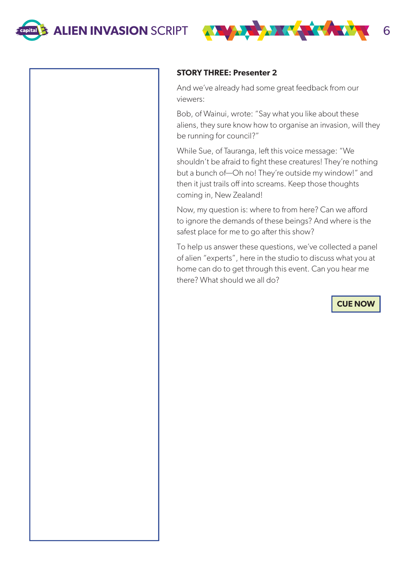

#### **STORY THREE: Presenter 2**

And we've already had some great feedback from our viewers:

Bob, of Wainui, wrote: "Say what you like about these aliens, they sure know how to organise an invasion, will they be running for council?"

While Sue, of Tauranga, left this voice message: "We shouldn't be afraid to fight these creatures! They're nothing but a bunch of—Oh no! They're outside my window!" and then it just trails off into screams. Keep those thoughts coming in, New Zealand!

Now, my question is: where to from here? Can we afford to ignore the demands of these beings? And where is the safest place for me to go after this show?

To help us answer these questions, we've collected a panel of alien "experts", here in the studio to discuss what you at home can do to get through this event. Can you hear me there? What should we all do?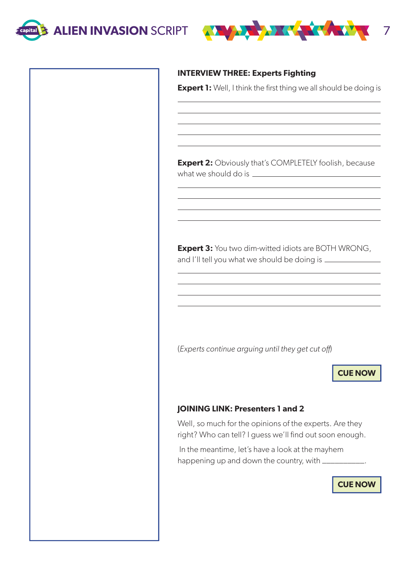



## **INTERVIEW THREE: Experts Fighting**

**Expert 1:** Well, I think the first thing we all should be doing is

**Expert 2:** Obviously that's COMPLETELY foolish, because what we should do is

**Expert 3:** You two dim-witted idiots are BOTH WRONG, and I'll tell you what we should be doing is

(Experts continue arguing until they get cut off)

**CUE NOW**

## **JOINING LINK: Presenters 1 and 2**

Well, so much for the opinions of the experts. Are they right? Who can tell? I guess we'll find out soon enough.

 In the meantime, let's have a look at the mayhem happening up and down the country, with \_\_\_\_\_\_\_\_\_\_.

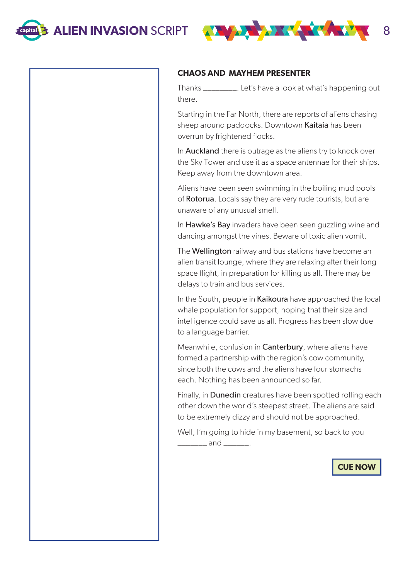

#### **CHAOS AND MAYHEM PRESENTER**

Thanks \_\_\_\_\_\_\_\_. Let's have a look at what's happening out there.

Starting in the Far North, there are reports of aliens chasing sheep around paddocks. Downtown Kaitaia has been overrun by frightened flocks.

In **Auckland** there is outrage as the aliens try to knock over the Sky Tower and use it as a space antennae for their ships. Keep away from the downtown area.

Aliens have been seen swimming in the boiling mud pools of Rotorua. Locals say they are very rude tourists, but are unaware of any unusual smell.

In Hawke's Bay invaders have been seen guzzling wine and dancing amongst the vines. Beware of toxic alien vomit.

The **Wellington** railway and bus stations have become an alien transit lounge, where they are relaxing after their long space flight, in preparation for killing us all. There may be delays to train and bus services.

In the South, people in Kaikoura have approached the local whale population for support, hoping that their size and intelligence could save us all. Progress has been slow due to a language barrier.

Meanwhile, confusion in **Canterbury**, where aliens have formed a partnership with the region's cow community, since both the cows and the aliens have four stomachs each. Nothing has been announced so far.

Finally, in **Dunedin** creatures have been spotted rolling each other down the world's steepest street. The aliens are said to be extremely dizzy and should not be approached.

Well, I'm going to hide in my basement, so back to you  $and$   $\qquad$ .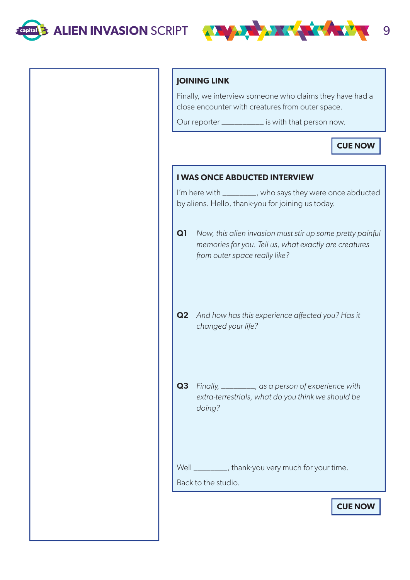

# **JOINING LINK**

Finally, we interview someone who claims they have had a close encounter with creatures from outer space.

Our reporter \_\_\_\_\_\_\_\_\_\_ is with that person now.

# **CUE NOW**

# **I WAS ONCE ABDUCTED INTERVIEW**

I'm here with \_\_\_\_\_\_\_\_, who says they were once abducted by aliens. Hello, thank-you for joining us today.

**Q1** Now, this alien invasion must stir up some pretty painful memories for you. Tell us, what exactly are creatures from outer space really like?

- **Q2** And how has this experience affected you? Has it changed your life?
- **Q3** Finally, \_\_\_\_\_\_\_\_, as a person of experience with extra-terrestrials, what do you think we should be doing?

Well \_\_\_\_\_\_\_\_, thank-you very much for your time.

Back to the studio.

**CUE NOW**